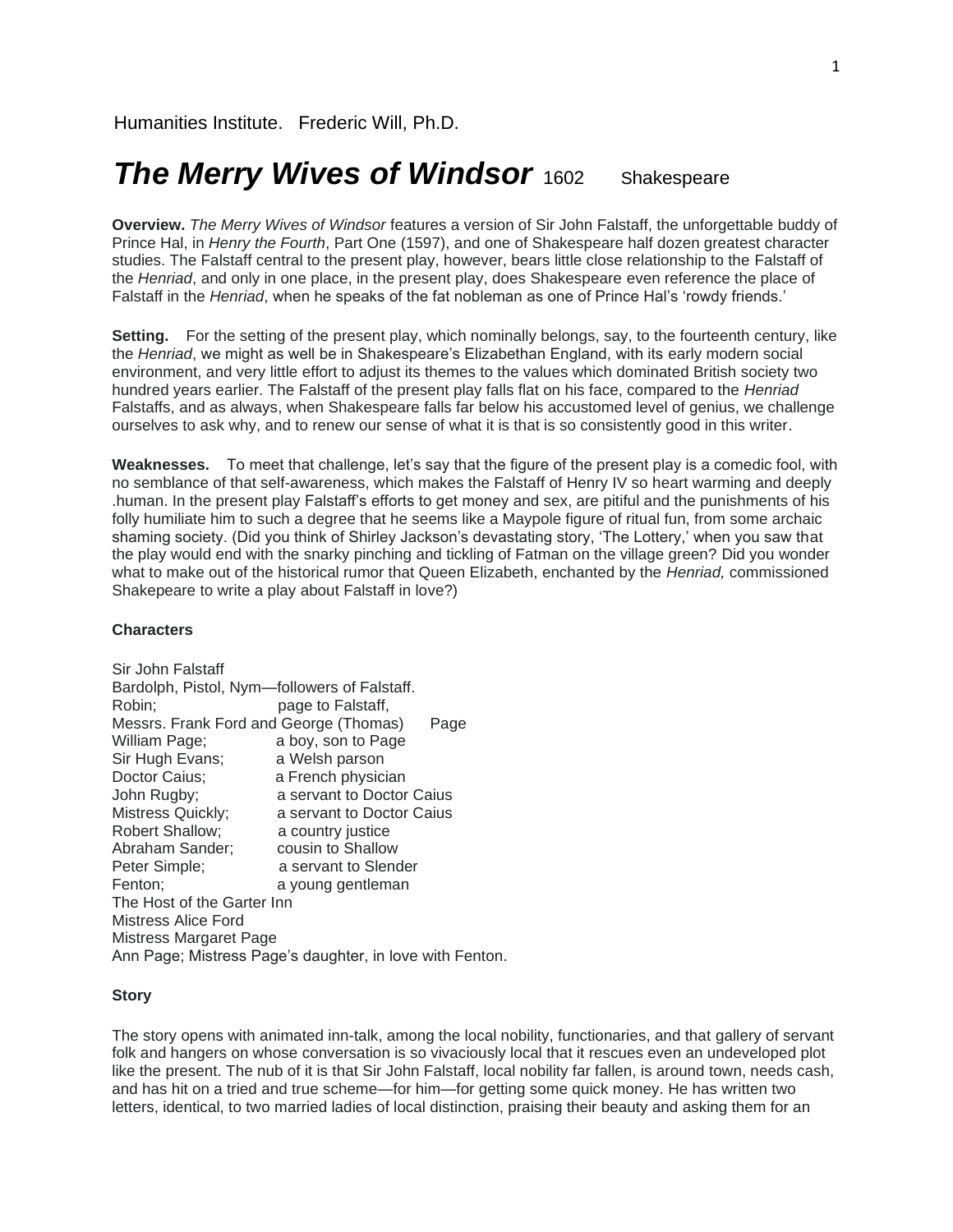# *The Merry Wives of Windsor* 1602 Shakespeare

**Overview.** *The Merry Wives of Windsor* features a version of Sir John Falstaff, the unforgettable buddy of Prince Hal, in *Henry the Fourth*, Part One (1597), and one of Shakespeare half dozen greatest character studies. The Falstaff central to the present play, however, bears little close relationship to the Falstaff of the *Henriad*, and only in one place, in the present play, does Shakespeare even reference the place of Falstaff in the *Henriad*, when he speaks of the fat nobleman as one of Prince Hal's 'rowdy friends.'

**Setting.** For the setting of the present play, which nominally belongs, say, to the fourteenth century, like the *Henriad*, we might as well be in Shakespeare's Elizabethan England, with its early modern social environment, and very little effort to adjust its themes to the values which dominated British society two hundred years earlier. The Falstaff of the present play falls flat on his face, compared to the *Henriad*  Falstaffs, and as always, when Shakespeare falls far below his accustomed level of genius, we challenge ourselves to ask why, and to renew our sense of what it is that is so consistently good in this writer.

**Weaknesses.** To meet that challenge, let's say that the figure of the present play is a comedic fool, with no semblance of that self-awareness, which makes the Falstaff of Henry IV so heart warming and deeply .human. In the present play Falstaff's efforts to get money and sex, are pitiful and the punishments of his folly humiliate him to such a degree that he seems like a Maypole figure of ritual fun, from some archaic shaming society. (Did you think of Shirley Jackson's devastating story, 'The Lottery,' when you saw that the play would end with the snarky pinching and tickling of Fatman on the village green? Did you wonder what to make out of the historical rumor that Queen Elizabeth, enchanted by the *Henriad,* commissioned Shakepeare to write a play about Falstaff in love?)

#### **Characters**

| Sir John Falstaff                                        |                           |
|----------------------------------------------------------|---------------------------|
| Bardolph, Pistol, Nym-followers of Falstaff.             |                           |
| Robin:                                                   | page to Falstaff.         |
| Messrs. Frank Ford and George (Thomas)                   | Page                      |
| William Page;                                            | a boy, son to Page        |
| Sir Hugh Evans;                                          | a Welsh parson            |
| Doctor Caius;                                            | a French physician        |
| John Rugby;                                              | a servant to Doctor Caius |
| Mistress Quickly;                                        | a servant to Doctor Caius |
| <b>Robert Shallow;</b>                                   | a country justice         |
| Abraham Sander;                                          | cousin to Shallow         |
| Peter Simple;                                            | a servant to Slender      |
| Fenton;                                                  | a young gentleman         |
| The Host of the Garter Inn                               |                           |
| Mistress Alice Ford                                      |                           |
| Mistress Margaret Page                                   |                           |
| Ann Page; Mistress Page's daughter, in love with Fenton. |                           |
|                                                          |                           |

# **Story**

The story opens with animated inn-talk, among the local nobility, functionaries, and that gallery of servant folk and hangers on whose conversation is so vivaciously local that it rescues even an undeveloped plot like the present. The nub of it is that Sir John Falstaff, local nobility far fallen, is around town, needs cash, and has hit on a tried and true scheme—for him—for getting some quick money. He has written two letters, identical, to two married ladies of local distinction, praising their beauty and asking them for an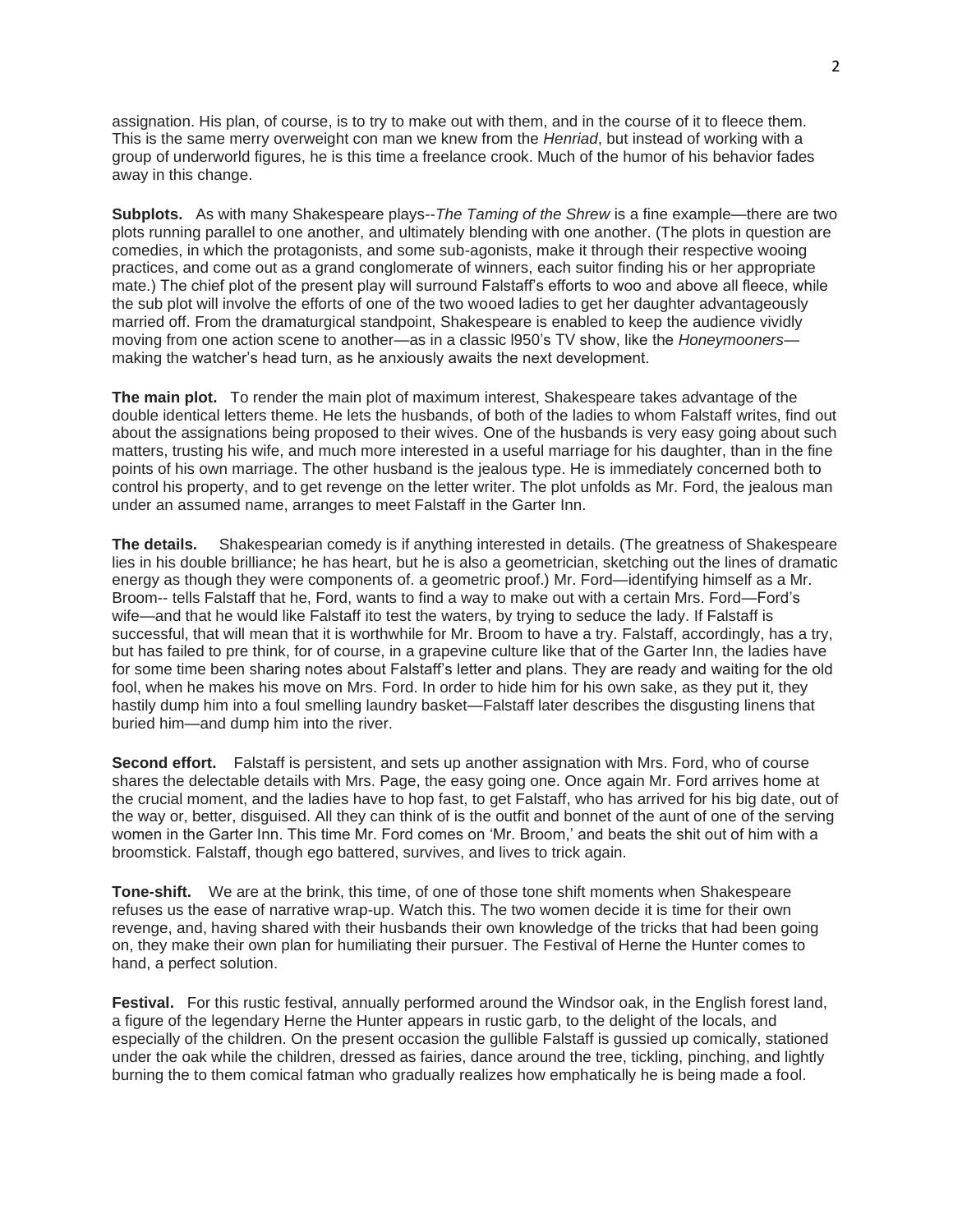assignation. His plan, of course, is to try to make out with them, and in the course of it to fleece them. This is the same merry overweight con man we knew from the *Henriad*, but instead of working with a group of underworld figures, he is this time a freelance crook. Much of the humor of his behavior fades away in this change.

**Subplots.** As with many Shakespeare plays--*The Taming of the Shrew* is a fine example—there are two plots running parallel to one another, and ultimately blending with one another. (The plots in question are comedies, in which the protagonists, and some sub-agonists, make it through their respective wooing practices, and come out as a grand conglomerate of winners, each suitor finding his or her appropriate mate.) The chief plot of the present play will surround Falstaff's efforts to woo and above all fleece, while the sub plot will involve the efforts of one of the two wooed ladies to get her daughter advantageously married off. From the dramaturgical standpoint, Shakespeare is enabled to keep the audience vividly moving from one action scene to another—as in a classic l950's TV show, like the *Honeymooners* making the watcher's head turn, as he anxiously awaits the next development.

**The main plot.** To render the main plot of maximum interest, Shakespeare takes advantage of the double identical letters theme. He lets the husbands, of both of the ladies to whom Falstaff writes, find out about the assignations being proposed to their wives. One of the husbands is very easy going about such matters, trusting his wife, and much more interested in a useful marriage for his daughter, than in the fine points of his own marriage. The other husband is the jealous type. He is immediately concerned both to control his property, and to get revenge on the letter writer. The plot unfolds as Mr. Ford, the jealous man under an assumed name, arranges to meet Falstaff in the Garter Inn.

**The details.** Shakespearian comedy is if anything interested in details. (The greatness of Shakespeare lies in his double brilliance; he has heart, but he is also a geometrician, sketching out the lines of dramatic energy as though they were components of. a geometric proof.) Mr. Ford—identifying himself as a Mr. Broom-- tells Falstaff that he, Ford, wants to find a way to make out with a certain Mrs. Ford—Ford's wife—and that he would like Falstaff ito test the waters, by trying to seduce the lady. If Falstaff is successful, that will mean that it is worthwhile for Mr. Broom to have a try. Falstaff, accordingly, has a try, but has failed to pre think, for of course, in a grapevine culture like that of the Garter Inn, the ladies have for some time been sharing notes about Falstaff's letter and plans. They are ready and waiting for the old fool, when he makes his move on Mrs. Ford. In order to hide him for his own sake, as they put it, they hastily dump him into a foul smelling laundry basket—Falstaff later describes the disgusting linens that buried him—and dump him into the river.

**Second effort.** Falstaff is persistent, and sets up another assignation with Mrs. Ford, who of course shares the delectable details with Mrs. Page, the easy going one. Once again Mr. Ford arrives home at the crucial moment, and the ladies have to hop fast, to get Falstaff, who has arrived for his big date, out of the way or, better, disguised. All they can think of is the outfit and bonnet of the aunt of one of the serving women in the Garter Inn. This time Mr. Ford comes on 'Mr. Broom,' and beats the shit out of him with a broomstick. Falstaff, though ego battered, survives, and lives to trick again.

**Tone-shift.** We are at the brink, this time, of one of those tone shift moments when Shakespeare refuses us the ease of narrative wrap-up. Watch this. The two women decide it is time for their own revenge, and, having shared with their husbands their own knowledge of the tricks that had been going on, they make their own plan for humiliating their pursuer. The Festival of Herne the Hunter comes to hand, a perfect solution.

**Festival.** For this rustic festival, annually performed around the Windsor oak, in the English forest land, a figure of the legendary Herne the Hunter appears in rustic garb, to the delight of the locals, and especially of the children. On the present occasion the gullible Falstaff is gussied up comically, stationed under the oak while the children, dressed as fairies, dance around the tree, tickling, pinching, and lightly burning the to them comical fatman who gradually realizes how emphatically he is being made a fool.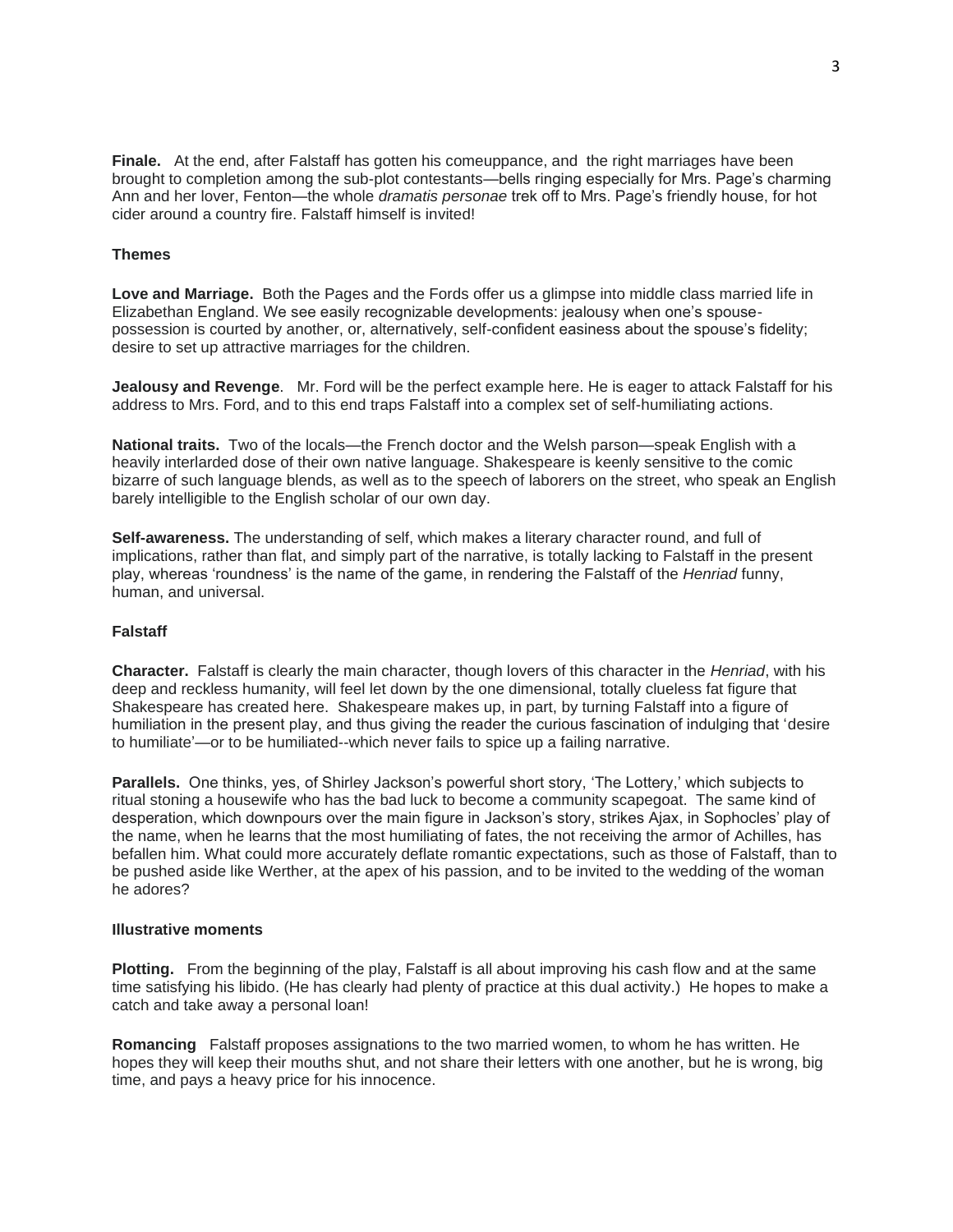**Finale.** At the end, after Falstaff has gotten his comeuppance, and the right marriages have been brought to completion among the sub-plot contestants—bells ringing especially for Mrs. Page's charming Ann and her lover, Fenton—the whole *dramatis personae* trek off to Mrs. Page's friendly house, for hot cider around a country fire. Falstaff himself is invited!

## **Themes**

**Love and Marriage.** Both the Pages and the Fords offer us a glimpse into middle class married life in Elizabethan England. We see easily recognizable developments: jealousy when one's spousepossession is courted by another, or, alternatively, self-confident easiness about the spouse's fidelity; desire to set up attractive marriages for the children.

**Jealousy and Revenge**. Mr. Ford will be the perfect example here. He is eager to attack Falstaff for his address to Mrs. Ford, and to this end traps Falstaff into a complex set of self-humiliating actions.

**National traits.** Two of the locals—the French doctor and the Welsh parson—speak English with a heavily interlarded dose of their own native language. Shakespeare is keenly sensitive to the comic bizarre of such language blends, as well as to the speech of laborers on the street, who speak an English barely intelligible to the English scholar of our own day.

**Self-awareness.** The understanding of self, which makes a literary character round, and full of implications, rather than flat, and simply part of the narrative, is totally lacking to Falstaff in the present play, whereas 'roundness' is the name of the game, in rendering the Falstaff of the *Henriad* funny, human, and universal.

# **Falstaff**

**Character.** Falstaff is clearly the main character, though lovers of this character in the *Henriad*, with his deep and reckless humanity, will feel let down by the one dimensional, totally clueless fat figure that Shakespeare has created here.Shakespeare makes up, in part, by turning Falstaff into a figure of humiliation in the present play, and thus giving the reader the curious fascination of indulging that 'desire to humiliate'—or to be humiliated--which never fails to spice up a failing narrative.

**Parallels.** One thinks, yes, of Shirley Jackson's powerful short story, 'The Lottery,' which subjects to ritual stoning a housewife who has the bad luck to become a community scapegoat. The same kind of desperation, which downpours over the main figure in Jackson's story, strikes Ajax, in Sophocles' play of the name, when he learns that the most humiliating of fates, the not receiving the armor of Achilles, has befallen him. What could more accurately deflate romantic expectations, such as those of Falstaff, than to be pushed aside like Werther, at the apex of his passion, and to be invited to the wedding of the woman he adores?

#### **Illustrative moments**

**Plotting.** From the beginning of the play, Falstaff is all about improving his cash flow and at the same time satisfying his libido. (He has clearly had plenty of practice at this dual activity.) He hopes to make a catch and take away a personal loan!

**Romancing** Falstaff proposes assignations to the two married women, to whom he has written. He hopes they will keep their mouths shut, and not share their letters with one another, but he is wrong, big time, and pays a heavy price for his innocence.